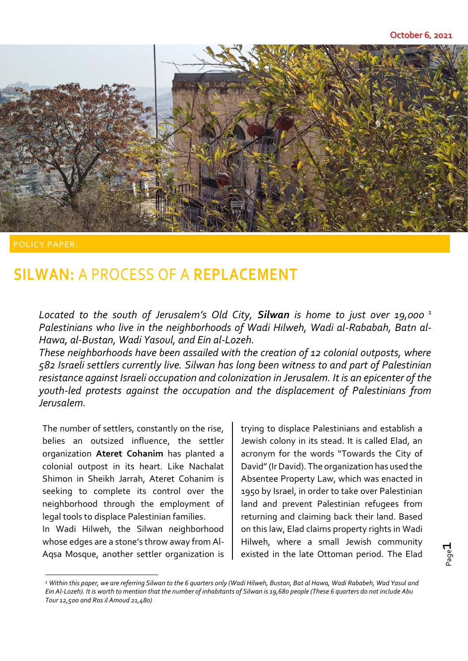

## **SILWAN:** A PROCESS OF A **REPLACEMENT**

*Located to the south of Jerusalem's Old City, Silwan is home to just over 19,000 <sup>1</sup> Palestinians who live in the neighborhoods of Wadi Hilweh, Wadi al-Rababah, Batn al-Hawa, al-Bustan, Wadi Yasoul, and Ein al-Lozeh.*

*These neighborhoods have been assailed with the creation of 12 colonial outposts, where 582 Israeli settlers currently live. Silwan has long been witness to and part of Palestinian resistance against Israeli occupation and colonization in Jerusalem. It is an epicenter of the youth-led protests against the occupation and the displacement of Palestinians from Jerusalem.*

The number of settlers, constantly on the rise, belies an outsized influence, the settler organization **Ateret Cohanim** has planted a colonial outpost in its heart. Like Nachalat Shimon in Sheikh Jarrah, Ateret Cohanim is seeking to complete its control over the neighborhood through the employment of legal tools to displace Palestinian families. In Wadi Hilweh, the Silwan neighborhood

whose edges are a stone's throw away from Al-Aqsa Mosque, another settler organization is trying to displace Palestinians and establish a Jewish colony in its stead. It is called Elad, an acronym for the words "Towards the City of David"(Ir David). The organization has used the Absentee Property Law, which was enacted in 1950 by Israel, in order to take over Palestinian land and prevent Palestinian refugees from returning and claiming back their land. Based on this law, Elad claims property rights in Wadi Hilweh, where a small Jewish community existed in the late Ottoman period. The Elad

*<sup>1</sup> Within this paper, we are referring Silwan to the 6 quarters only (Wadi Hilweh, Bustan, Bat al Hawa, Wadi Rababeh, Wad Yasul and Ein Al-Lozeh). It is worth to mention that the number of inhabitants of Silwan is 19,680 people (These 6 quarters do not include Abu Tour 12,500 and Ras il Amoud 21,480)*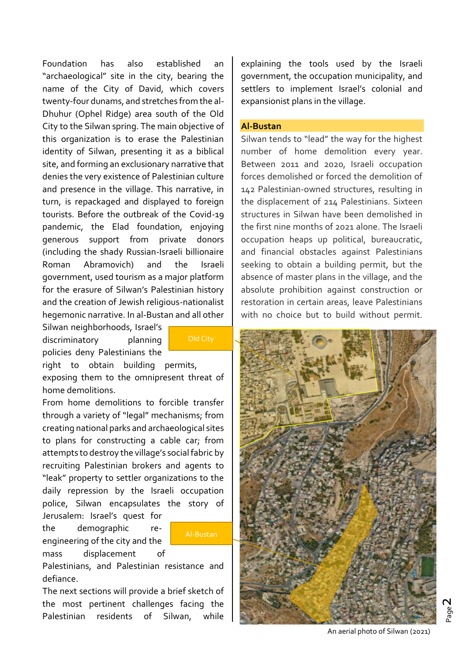Foundation has also established an "archaeological" site in the city, bearing the name of the City of David, which covers twenty-four dunams, and stretches from the al-Dhuhur (Ophel Ridge) area south of the Old City to the Silwan spring. The main objective of this organization is to erase the Palestinian identity of Silwan, presenting it as a biblical site, and forming an exclusionary narrative that denies the very existence of Palestinian culture and presence in the village. This narrative, in turn, is repackaged and displayed to foreign tourists. Before the outbreak of the Covid-19 pandemic, the Elad foundation, enjoying generous support from private donors (including the shady Russian-Israeli billionaire Roman Abramovich) and the Israeli government, used tourism as a major platform for the erasure of Silwan's Palestinian history and the creation of Jewish religious-nationalist hegemonic narrative. In al-Bustan and all other

Silwan neighborhoods, Israel's discriminatory planning policies deny Palestinians the

Old City

right to obtain building permits, exposing them to the omnipresent threat of home demolitions.

From home demolitions to forcible transfer through a variety of "legal" mechanisms; from creating national parks and archaeological sites to plans for constructing a cable car; from attempts to destroy the village's social fabric by recruiting Palestinian brokers and agents to "leak" property to settler organizations to the daily repression by the Israeli occupation police, Silwan encapsulates the story of

Jerusalem: Israel's quest for the demographic reengineering of the city and the mass displacement of

Al-Bustan

Palestinians, and Palestinian resistance and defiance.

The next sections will provide a brief sketch of the most pertinent challenges facing the Palestinian residents of Silwan, while

explaining the tools used by the Israeli government, the occupation municipality, and settlers to implement Israel's colonial and expansionist plans in the village.

#### **Al-Bustan**

Silwan tends to "lead" the way for the highest number of home demolition every year. Between 2011 and 2020, Israeli occupation forces demolished or forced the demolition of 142 Palestinian-owned structures, resulting in the displacement of 214 Palestinians. Sixteen structures in Silwan have been demolished in the first nine months of 2021 alone. The Israeli occupation heaps up political, bureaucratic, and financial obstacles against Palestinians seeking to obtain a building permit, but the absence of master plans in the village, and the absolute prohibition against construction or restoration in certain areas, leave Palestinians with no choice but to build without permit.



An aerial photo of Silwan (2021)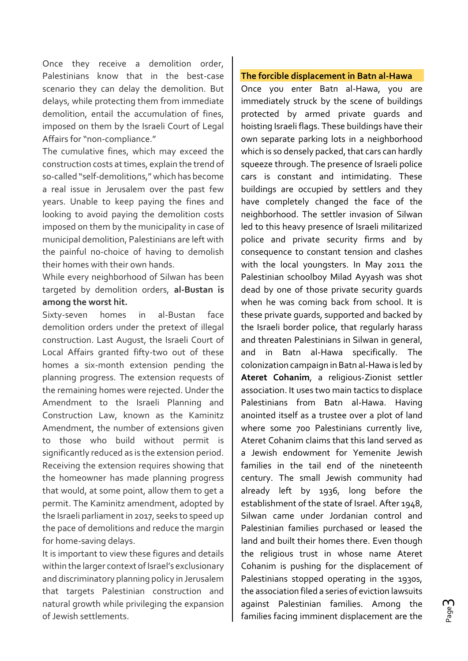Once they receive a demolition order, Palestinians know that in the best-case scenario they can delay the demolition. But delays, while protecting them from immediate demolition, entail the accumulation of fines, imposed on them by the Israeli Court of Legal Affairs for "non-compliance."

The cumulative fines, which may exceed the construction costs at times, explain the trend of so-called "self-demolitions," which has become a real issue in Jerusalem over the past few years. Unable to keep paying the fines and looking to avoid paying the demolition costs imposed on them by the municipality in case of municipal demolition, Palestinians are left with the painful no-choice of having to demolish their homes with their own hands.

While every neighborhood of Silwan has been targeted by demolition orders, **al-Bustan is among the worst hit.** 

Sixty-seven homes in al-Bustan face demolition orders under the pretext of illegal construction. Last August, the Israeli Court of Local Affairs granted fifty-two out of these homes a six-month extension pending the planning progress. The extension requests of the remaining homes were rejected. Under the Amendment to the Israeli Planning and Construction Law, known as the Kaminitz Amendment, the number of extensions given to those who build without permit is significantly reduced as is the extension period. Receiving the extension requires showing that the homeowner has made planning progress that would, at some point, allow them to get a permit. The Kaminitz amendment, adopted by the Israeli parliament in 2017, seeks to speed up the pace of demolitions and reduce the margin for home-saving delays.

It is important to view these figures and details within the larger context of Israel's exclusionary and discriminatory planning policy in Jerusalem that targets Palestinian construction and natural growth while privileging the expansion of Jewish settlements.

#### **The forcible displacement in Batn al-Hawa**

Once you enter Batn al-Hawa, you are immediately struck by the scene of buildings protected by armed private guards and hoisting Israeli flags. These buildings have their own separate parking lots in a neighborhood which is so densely packed, that cars can hardly squeeze through. The presence of Israeli police cars is constant and intimidating. These buildings are occupied by settlers and they have completely changed the face of the neighborhood. The settler invasion of Silwan led to this heavy presence of Israeli militarized police and private security firms and by consequence to constant tension and clashes with the local youngsters. In May 2011 the Palestinian schoolboy Milad Ayyash was shot dead by one of those private security guards when he was coming back from school. It is these private guards, supported and backed by the Israeli border police, that regularly harass and threaten Palestinians in Silwan in general, and in Batn al-Hawa specifically. The colonization campaign in Batn al-Hawa is led by **Ateret Cohanim**, a religious-Zionist settler association. It uses two main tactics to displace Palestinians from Batn al-Hawa. Having anointed itself as a trustee over a plot of land where some 700 Palestinians currently live, Ateret Cohanim claims that this land served as a Jewish endowment for Yemenite Jewish families in the tail end of the nineteenth century. The small Jewish community had already left by 1936, long before the establishment of the state of Israel. After 1948, Silwan came under Jordanian control and Palestinian families purchased or leased the land and built their homes there. Even though the religious trust in whose name Ateret Cohanim is pushing for the displacement of Palestinians stopped operating in the 1930s, the association filed a series of eviction lawsuits against Palestinian families. Among the families facing imminent displacement are the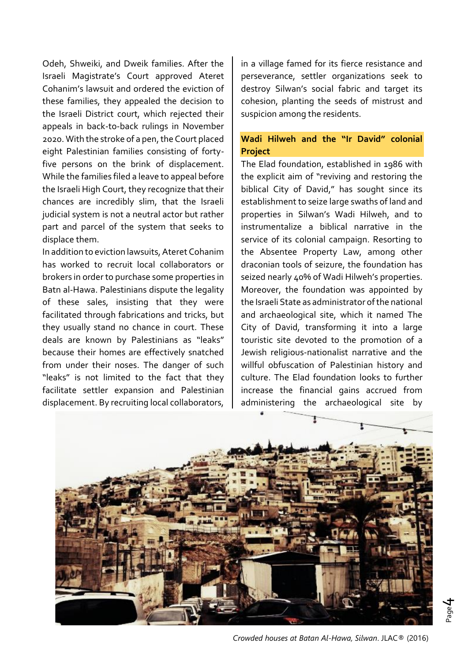Odeh, Shweiki, and Dweik families. After the Israeli Magistrate's Court approved Ateret Cohanim's lawsuit and ordered the eviction of these families, they appealed the decision to the Israeli District court, which rejected their appeals in back-to-back rulings in November 2020. With the stroke of a pen, the Court placed eight Palestinian families consisting of fortyfive persons on the brink of displacement. While the families filed a leave to appeal before the Israeli High Court, they recognize that their chances are incredibly slim, that the Israeli judicial system is not a neutral actor but rather part and parcel of the system that seeks to displace them.

In addition to eviction lawsuits, Ateret Cohanim has worked to recruit local collaborators or brokers in order to purchase some properties in Batn al-Hawa. Palestinians dispute the legality of these sales, insisting that they were facilitated through fabrications and tricks, but they usually stand no chance in court. These deals are known by Palestinians as "leaks" because their homes are effectively snatched from under their noses. The danger of such "leaks" is not limited to the fact that they facilitate settler expansion and Palestinian displacement. By recruiting local collaborators,

in a village famed for its fierce resistance and perseverance, settler organizations seek to destroy Silwan's social fabric and target its cohesion, planting the seeds of mistrust and suspicion among the residents.

### **Wadi Hilweh and the "Ir David" colonial Project**

The Elad foundation, established in 1986 with the explicit aim of "reviving and restoring the biblical City of David," has sought since its establishment to seize large swaths of land and properties in Silwan's Wadi Hilweh, and to instrumentalize a biblical narrative in the service of its colonial campaign. Resorting to the Absentee Property Law, among other draconian tools of seizure, the foundation has seized nearly 40% of Wadi Hilweh's properties. Moreover, the foundation was appointed by the Israeli State as administrator of the national and archaeological site, which it named The City of David, transforming it into a large touristic site devoted to the promotion of a Jewish religious-nationalist narrative and the willful obfuscation of Palestinian history and culture. The Elad foundation looks to further increase the financial gains accrued from administering the archaeological site by



*Crowded houses at Batan Al-Hawa, Silwan*. JLAC® (2016)